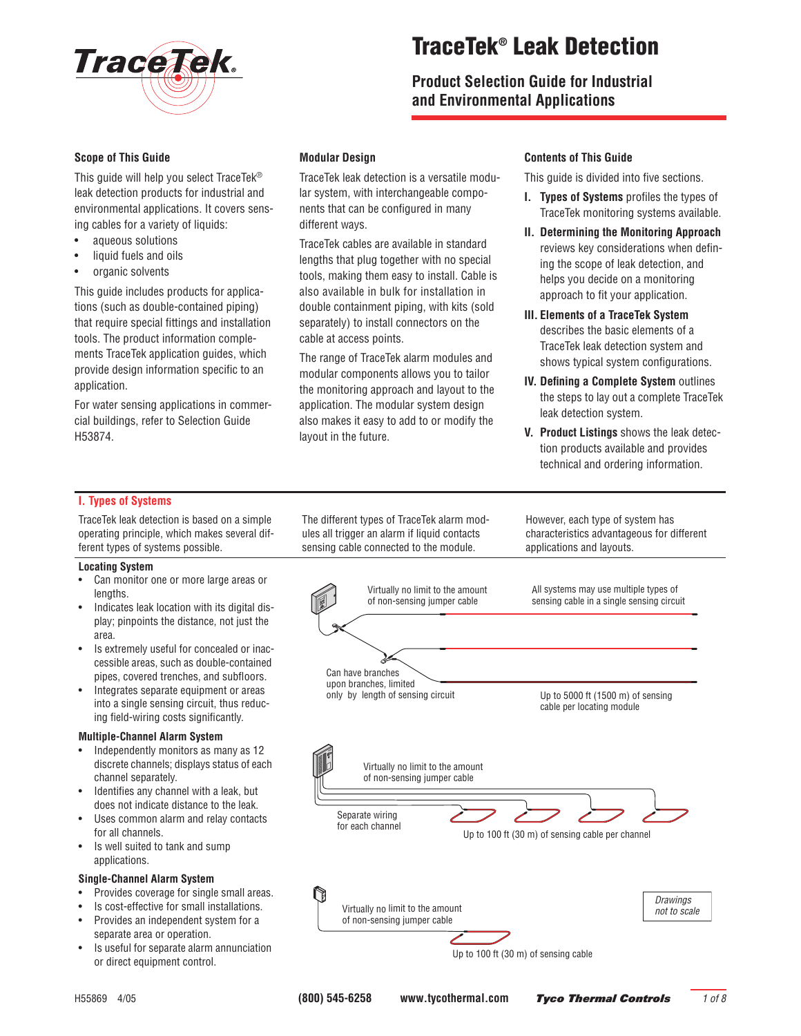

# **TraceTek® Leak Detection**

**Product Selection Guide for Industrial and Environmental Applications**

#### **Scope of This Guide**

This guide will help you select TraceTek® leak detection products for industrial and environmental applications. It covers sensing cables for a variety of liquids:

- aqueous solutions
- liquid fuels and oils
- organic solvents

This guide includes products for applications (such as double-contained piping) that require special fittings and installation tools. The product information complements TraceTek application guides, which provide design information specific to an application.

For water sensing applications in commercial buildings, refer to Selection Guide H53874.

### **Modular Design**

TraceTek leak detection is a versatile modular system, with interchangeable components that can be configured in many different ways.

TraceTek cables are available in standard lengths that plug together with no special tools, making them easy to install. Cable is also available in bulk for installation in double containment piping, with kits (sold separately) to install connectors on the cable at access points.

The range of TraceTek alarm modules and modular components allows you to tailor the monitoring approach and layout to the application. The modular system design also makes it easy to add to or modify the layout in the future.

#### **Contents of This Guide**

This guide is divided into five sections.

- **I. Types of Systems** profiles the types of TraceTek monitoring systems available.
- **II. Determining the Monitoring Approach** reviews key considerations when defining the scope of leak detection, and helps you decide on a monitoring approach to fit your application.
- **III. Elements of a TraceTek System** describes the basic elements of a TraceTek leak detection system and shows typical system configurations.
- **IV. Defining a Complete System** outlines the steps to lay out a complete TraceTek leak detection system.
- **V. Product Listings** shows the leak detection products available and provides technical and ordering information.

#### **I. Types of Systems**

TraceTek leak detection is based on a simple operating principle, which makes several different types of systems possible.

#### **Locating System**

- Can monitor one or more large areas or lengths.
- Indicates leak location with its digital display; pinpoints the distance, not just the area.
- Is extremely useful for concealed or inaccessible areas, such as double-contained pipes, covered trenches, and subfloors.
- Integrates separate equipment or areas into a single sensing circuit, thus reducing field-wiring costs significantly.

#### **Multiple-Channel Alarm System**

- Independently monitors as many as 12 discrete channels; displays status of each channel separately.
- Identifies any channel with a leak, but does not indicate distance to the leak.
- Uses common alarm and relay contacts for all channels.
- Is well suited to tank and sump applications.

#### **Single-Channel Alarm System**

- Provides coverage for single small areas.
- Is cost-effective for small installations.
- Provides an independent system for a separate area or operation.
- Is useful for separate alarm annunciation or direct equipment control.

The different types of TraceTek alarm modules all trigger an alarm if liquid contacts sensing cable connected to the module.

> Virtually no limit to the amount of non-sensing jumper cable

Can have branches upon branches, limited only by length of sensing circuit

> Virtually no limit to the amount of non-sensing jumper cable

However, each type of system has characteristics advantageous for different applications and layouts.



Up to 5000 ft (1500 m) of sensing cable per locating module

> *Drawings not to scale*

Separate wiring for each channel Up to 100 ft (30 m) of sensing cable per channel Virtually no limit to the amount of non-sensing jumper cable

Up to 100 ft (30 m) of sensing cable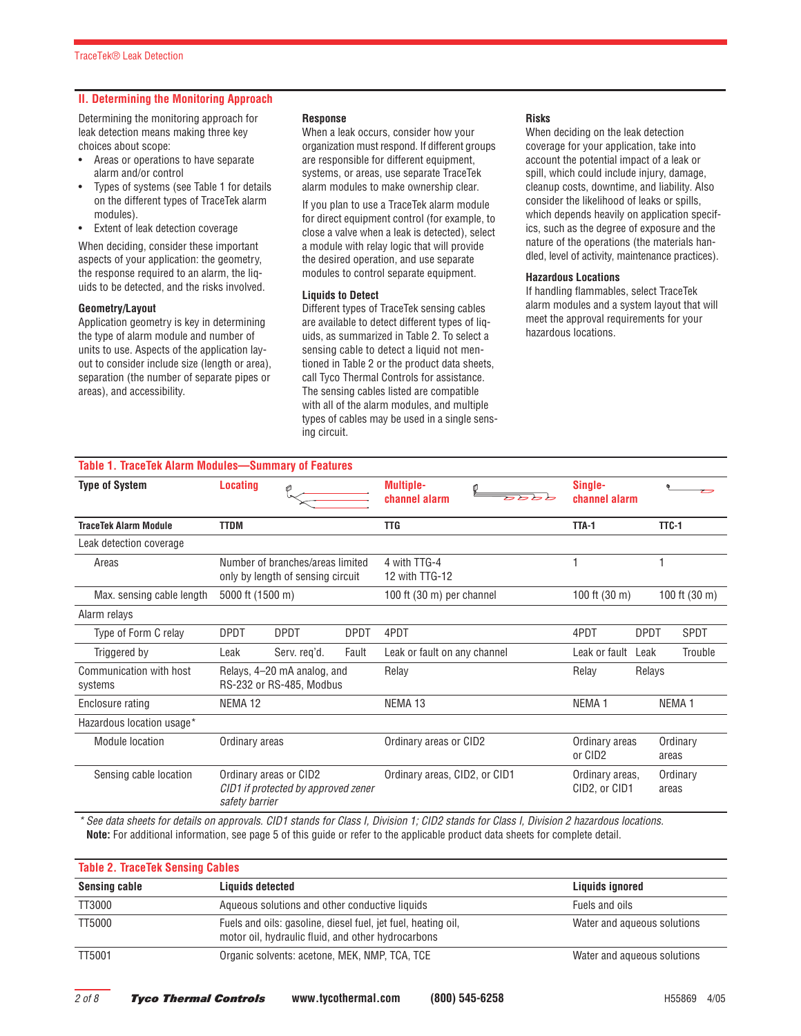#### **II. Determining the Monitoring Approach**

Determining the monitoring approach for leak detection means making three key choices about scope:

- Areas or operations to have separate alarm and/or control
- Types of systems (see Table 1 for details on the different types of TraceTek alarm modules).
- Extent of leak detection coverage

When deciding, consider these important aspects of your application: the geometry, the response required to an alarm, the liquids to be detected, and the risks involved.

#### **Geometry/Layout**

Application geometry is key in determining the type of alarm module and number of units to use. Aspects of the application layout to consider include size (length or area), separation (the number of separate pipes or areas), and accessibility.

#### **Response**

When a leak occurs, consider how your organization must respond. If different groups are responsible for different equipment, systems, or areas, use separate TraceTek alarm modules to make ownership clear.

If you plan to use a TraceTek alarm module for direct equipment control (for example, to close a valve when a leak is detected), select a module with relay logic that will provide the desired operation, and use separate modules to control separate equipment.

#### **Liquids to Detect**

Different types of TraceTek sensing cables are available to detect different types of liquids, as summarized in Table 2. To select a sensing cable to detect a liquid not mentioned in Table 2 or the product data sheets, call Tyco Thermal Controls for assistance. The sensing cables listed are compatible with all of the alarm modules, and multiple types of cables may be used in a single sensing circuit.

#### **Risks**

When deciding on the leak detection coverage for your application, take into account the potential impact of a leak or spill, which could include injury, damage, cleanup costs, downtime, and liability. Also consider the likelihood of leaks or spills, which depends heavily on application specifics, such as the degree of exposure and the nature of the operations (the materials handled, level of activity, maintenance practices).

#### **Hazardous Locations**

If handling flammables, select TraceTek alarm modules and a system layout that will meet the approval requirements for your hazardous locations.

| Table 1. TraceTek Alarm Modules-Summary of Features |                    |                                                                       |             |                                   |                                       |                            |
|-----------------------------------------------------|--------------------|-----------------------------------------------------------------------|-------------|-----------------------------------|---------------------------------------|----------------------------|
| <b>Type of System</b>                               | <b>Locating</b>    | O                                                                     |             | <b>Multiple-</b><br>channel alarm | Single-<br>channel alarm              |                            |
| <b>TraceTek Alarm Module</b>                        | <b>TTDM</b>        |                                                                       |             | <b>TTG</b>                        | TTA-1                                 | TTC-1                      |
| Leak detection coverage                             |                    |                                                                       |             |                                   |                                       |                            |
| Areas                                               |                    | Number of branches/areas limited<br>only by length of sensing circuit |             | 4 with TTG-4<br>12 with TTG-12    |                                       |                            |
| Max. sensing cable length                           | 5000 ft (1500 m)   |                                                                       |             | 100 ft (30 m) per channel         | 100 ft $(30 \text{ m})$               | 100 ft (30 m)              |
| Alarm relays                                        |                    |                                                                       |             |                                   |                                       |                            |
| Type of Form C relay                                | <b>DPDT</b>        | <b>DPDT</b>                                                           | <b>DPDT</b> | 4PDT                              | 4PDT                                  | <b>DPDT</b><br><b>SPDT</b> |
| Triggered by                                        | Leak               | Serv. reg'd.                                                          | Fault       | Leak or fault on any channel      | Leak or fault                         | Trouble<br>Leak            |
| Communication with host<br>systems                  |                    | Relays, 4-20 mA analog, and<br>RS-232 or RS-485, Modbus               |             | Relay                             | Relay                                 | Relays                     |
| Enclosure rating                                    | NEMA <sub>12</sub> |                                                                       |             | NEMA <sub>13</sub>                | NEMA <sub>1</sub>                     | NEMA <sub>1</sub>          |
| Hazardous location usage*                           |                    |                                                                       |             |                                   |                                       |                            |
| <b>Module location</b>                              | Ordinary areas     |                                                                       |             | Ordinary areas or CID2            | Ordinary areas<br>or CID <sub>2</sub> | Ordinary<br>areas          |
| Sensing cable location                              | safety barrier     | Ordinary areas or CID2<br>CID1 if protected by approved zener         |             | Ordinary areas, CID2, or CID1     | Ordinary areas,<br>CID2, or CID1      | Ordinary<br>areas          |

*\* See data sheets for details on approvals. CID1 stands for Class I, Division 1; CID2 stands for Class I, Division 2 hazardous locations.* **Note:** For additional information, see page 5 of this guide or refer to the applicable product data sheets for complete detail.

| <b>Table 2. TraceTek Sensing Cables</b> |                                                                                                                     |                             |  |  |
|-----------------------------------------|---------------------------------------------------------------------------------------------------------------------|-----------------------------|--|--|
| Sensing cable                           | Liquids detected                                                                                                    | Liquids ignored             |  |  |
| TT3000                                  | Aqueous solutions and other conductive liquids                                                                      | Fuels and oils              |  |  |
| <b>TT5000</b>                           | Fuels and oils: gasoline, diesel fuel, jet fuel, heating oil,<br>motor oil, hydraulic fluid, and other hydrocarbons | Water and aqueous solutions |  |  |
| TT5001                                  | Organic solvents: acetone, MEK, NMP, TCA, TCE                                                                       | Water and aqueous solutions |  |  |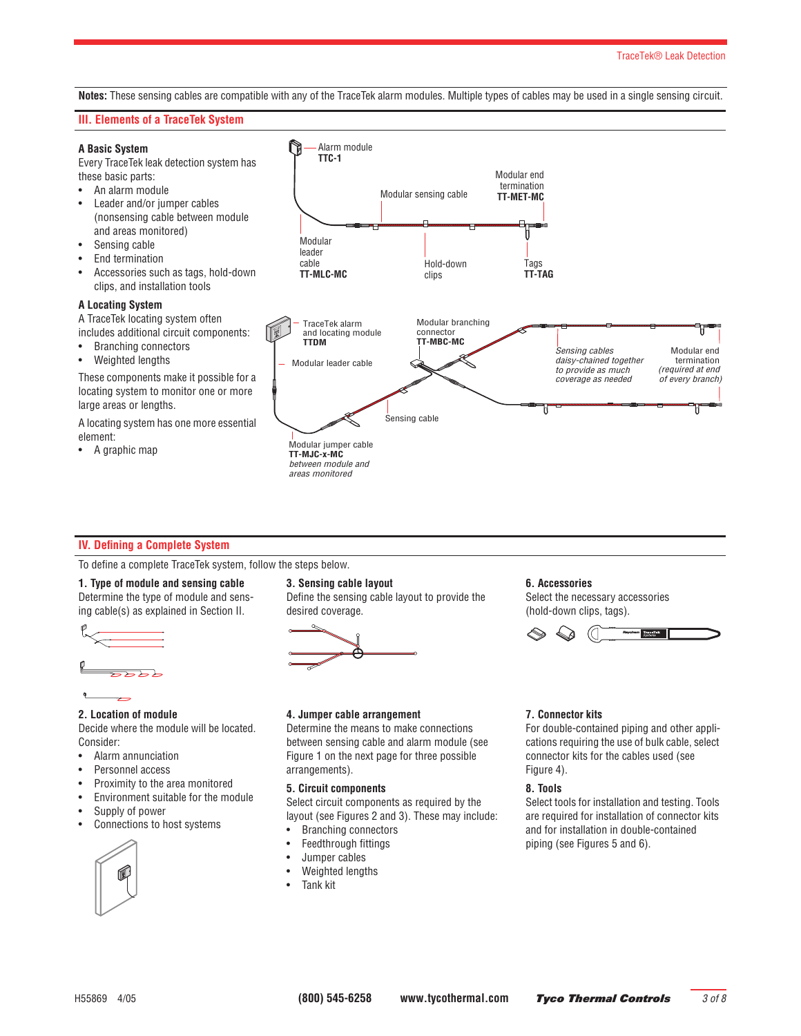#### TraceTek® Leak Detection

**Notes:** These sensing cables are compatible with any of the TraceTek alarm modules. Multiple types of cables may be used in a single sensing circuit.

#### **III. Elements of a TraceTek System**

#### **A Basic System**

Every TraceTek leak detection system has these basic parts:

- An alarm module
- Leader and/or jumper cables (nonsensing cable between module and areas monitored)
- Sensing cable
- End termination
- Accessories such as tags, hold-down clips, and installation tools

#### **A Locating System**

A TraceTek locating system often includes additional circuit components:

- Branching connectors
- Weighted lengths

These components make it possible for a locating system to monitor one or more large areas or lengths.

A locating system has one more essential element:

• A graphic map



#### **IV. Defining a Complete System**

To define a complete TraceTek system, follow the steps below.

#### **1. Type of module and sensing cable**

Determine the type of module and sensing cable(s) as explained in Section II.



# **2. Location of module**

Decide where the module will be located. Consider:

- Alarm annunciation
- Personnel access
- Proximity to the area monitored
- Environment suitable for the module
- Supply of power
- Connections to host systems



#### **3. Sensing cable layout**

Define the sensing cable layout to provide the desired coverage.



#### **4. Jumper cable arrangement**

Determine the means to make connections between sensing cable and alarm module (see Figure 1 on the next page for three possible arrangements).

#### **5. Circuit components**

Select circuit components as required by the layout (see Figures 2 and 3). These may include:

- Branching connectors
- Feedthrough fittings
- Jumper cables
- Weighted lengths
- Tank kit

#### **6. Accessories**

Select the necessary accessories (hold-down clips, tags).



#### **7. Connector kits**

For double-contained piping and other applications requiring the use of bulk cable, select connector kits for the cables used (see Figure 4).

#### **8. Tools**

Select tools for installation and testing. Tools are required for installation of connector kits and for installation in double-contained piping (see Figures 5 and 6).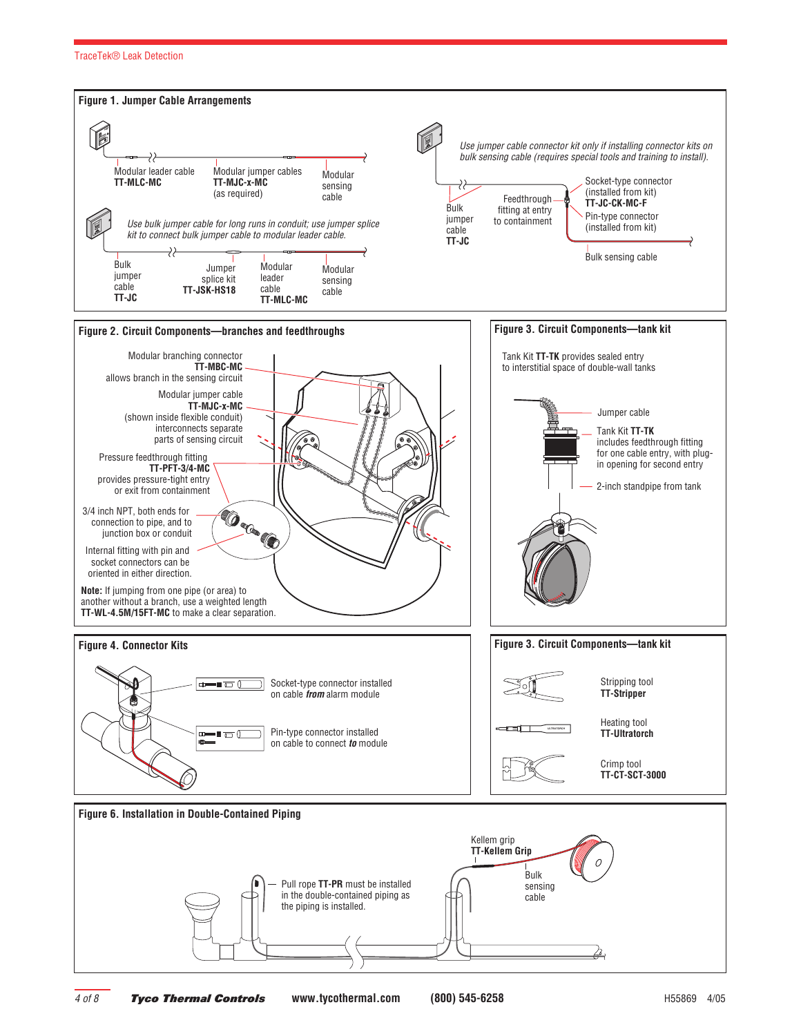#### TraceTek® Leak Detection

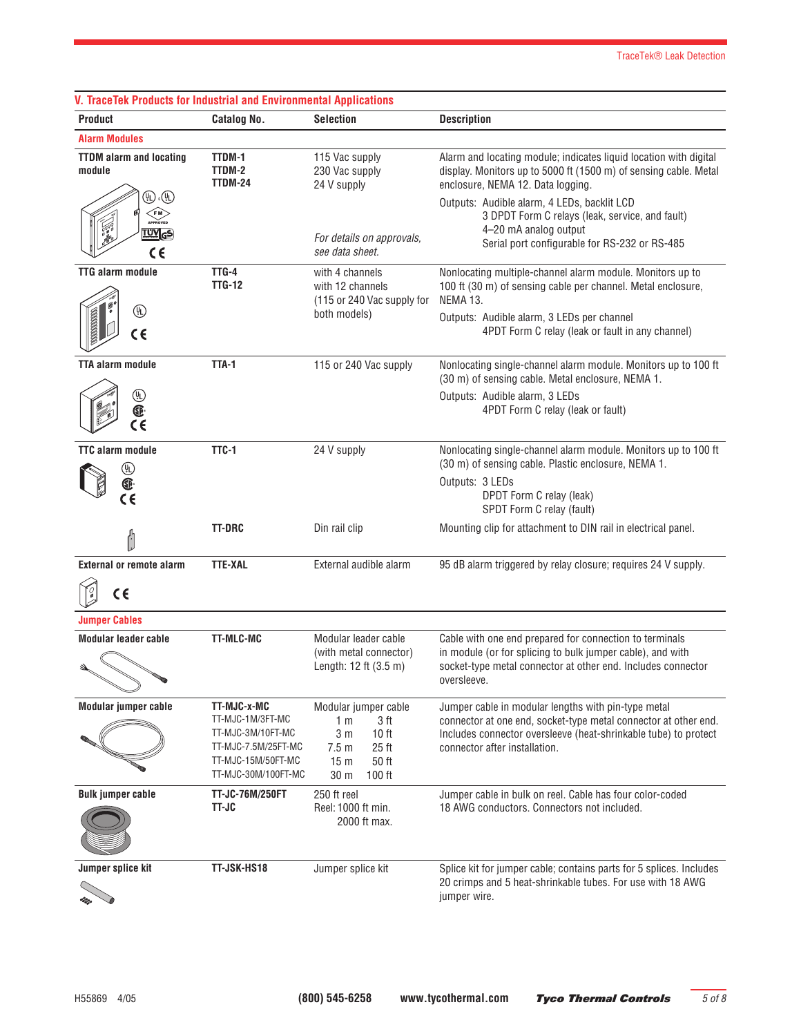| <b>V. TraceTek Products for Industrial and Environmental Applications</b>                                                      |                                                                                                                          |                                                                                                                                                                                |                                                                                                                                                                                                                                                                                                       |
|--------------------------------------------------------------------------------------------------------------------------------|--------------------------------------------------------------------------------------------------------------------------|--------------------------------------------------------------------------------------------------------------------------------------------------------------------------------|-------------------------------------------------------------------------------------------------------------------------------------------------------------------------------------------------------------------------------------------------------------------------------------------------------|
| <b>Product</b>                                                                                                                 | <b>Catalog No.</b>                                                                                                       | <b>Selection</b>                                                                                                                                                               | <b>Description</b>                                                                                                                                                                                                                                                                                    |
| <b>Alarm Modules</b>                                                                                                           |                                                                                                                          |                                                                                                                                                                                |                                                                                                                                                                                                                                                                                                       |
| <b>TTDM</b> alarm and locating<br>module<br>$\mathbb{D}$ . $\mathbb{D}$<br><b>EM</b><br>APPROVED<br><u>TUV</u> <sub>G</sub> S) | TTDM-1<br>TTDM-2<br>TTDM-24                                                                                              | 115 Vac supply<br>230 Vac supply<br>24 V supply<br>For details on approvals,                                                                                                   | Alarm and locating module; indicates liquid location with digital<br>display. Monitors up to 5000 ft (1500 m) of sensing cable. Metal<br>enclosure, NEMA 12. Data logging.<br>Outputs: Audible alarm, 4 LEDs, backlit LCD<br>3 DPDT Form C relays (leak, service, and fault)<br>4-20 mA analog output |
| $\epsilon$                                                                                                                     |                                                                                                                          | see data sheet.                                                                                                                                                                | Serial port configurable for RS-232 or RS-485                                                                                                                                                                                                                                                         |
| <b>TTG alarm module</b><br>⊕<br>SSSSSSSS<br>$\epsilon$                                                                         | TTG-4<br><b>TTG-12</b>                                                                                                   | with 4 channels<br>with 12 channels<br>(115 or 240 Vac supply for<br>both models)                                                                                              | Nonlocating multiple-channel alarm module. Monitors up to<br>100 ft (30 m) of sensing cable per channel. Metal enclosure,<br>NEMA 13.<br>Outputs: Audible alarm, 3 LEDs per channel<br>4PDT Form C relay (leak or fault in any channel)                                                               |
|                                                                                                                                |                                                                                                                          |                                                                                                                                                                                |                                                                                                                                                                                                                                                                                                       |
| <b>TTA alarm module</b>                                                                                                        | TTA-1                                                                                                                    | 115 or 240 Vac supply                                                                                                                                                          | Nonlocating single-channel alarm module. Monitors up to 100 ft<br>(30 m) of sensing cable. Metal enclosure, NEMA 1.                                                                                                                                                                                   |
| $\circledast$<br>®<br>$\tilde{\epsilon}$                                                                                       |                                                                                                                          |                                                                                                                                                                                | Outputs: Audible alarm, 3 LEDs<br>4PDT Form C relay (leak or fault)                                                                                                                                                                                                                                   |
| <b>TTC alarm module</b><br>$\circledast$                                                                                       | TTC-1                                                                                                                    | 24 V supply                                                                                                                                                                    | Nonlocating single-channel alarm module. Monitors up to 100 ft<br>(30 m) of sensing cable. Plastic enclosure, NEMA 1.                                                                                                                                                                                 |
| $\bar{\mathbb{G}}$<br>$\epsilon$                                                                                               |                                                                                                                          |                                                                                                                                                                                | Outputs: 3 LEDs<br>DPDT Form C relay (leak)<br>SPDT Form C relay (fault)                                                                                                                                                                                                                              |
| Ů                                                                                                                              | <b>TT-DRC</b>                                                                                                            | Din rail clip                                                                                                                                                                  | Mounting clip for attachment to DIN rail in electrical panel.                                                                                                                                                                                                                                         |
| <b>External or remote alarm</b>                                                                                                | <b>TTE-XAL</b>                                                                                                           | External audible alarm                                                                                                                                                         | 95 dB alarm triggered by relay closure; requires 24 V supply.                                                                                                                                                                                                                                         |
| $C \in$                                                                                                                        |                                                                                                                          |                                                                                                                                                                                |                                                                                                                                                                                                                                                                                                       |
| <b>Jumper Cables</b>                                                                                                           |                                                                                                                          |                                                                                                                                                                                |                                                                                                                                                                                                                                                                                                       |
| <b>Modular leader cable</b>                                                                                                    | <b>TT-MLC-MC</b>                                                                                                         | Modular leader cable<br>(with metal connector)<br>Length: 12 ft (3.5 m)                                                                                                        | Cable with one end prepared for connection to terminals<br>in module (or for splicing to bulk jumper cable), and with<br>socket-type metal connector at other end. Includes connector<br>oversleeve.                                                                                                  |
| Modular jumper cable                                                                                                           | TT-MJC-x-MC<br>TT-MJC-1M/3FT-MC<br>TT-MJC-3M/10FT-MC<br>TT-MJC-7.5M/25FT-MC<br>TT-MJC-15M/50FT-MC<br>TT-MJC-30M/100FT-MC | Modular jumper cable<br>3 <sub>ft</sub><br>1 <sub>m</sub><br>3 <sub>m</sub><br>10 <sub>ft</sub><br>$25$ ft<br>7.5 <sub>m</sub><br>50 ft<br>15 <sub>m</sub><br>30 m<br>$100$ ft | Jumper cable in modular lengths with pin-type metal<br>connector at one end, socket-type metal connector at other end.<br>Includes connector oversleeve (heat-shrinkable tube) to protect<br>connector after installation.                                                                            |
| <b>Bulk jumper cable</b>                                                                                                       | TT-JC-76M/250FT<br>TT-JC                                                                                                 | 250 ft reel<br>Reel: 1000 ft min.<br>2000 ft max.                                                                                                                              | Jumper cable in bulk on reel. Cable has four color-coded<br>18 AWG conductors. Connectors not included.                                                                                                                                                                                               |
| Jumper splice kit                                                                                                              | TT-JSK-HS18                                                                                                              | Jumper splice kit                                                                                                                                                              | Splice kit for jumper cable; contains parts for 5 splices. Includes<br>20 crimps and 5 heat-shrinkable tubes. For use with 18 AWG<br>jumper wire.                                                                                                                                                     |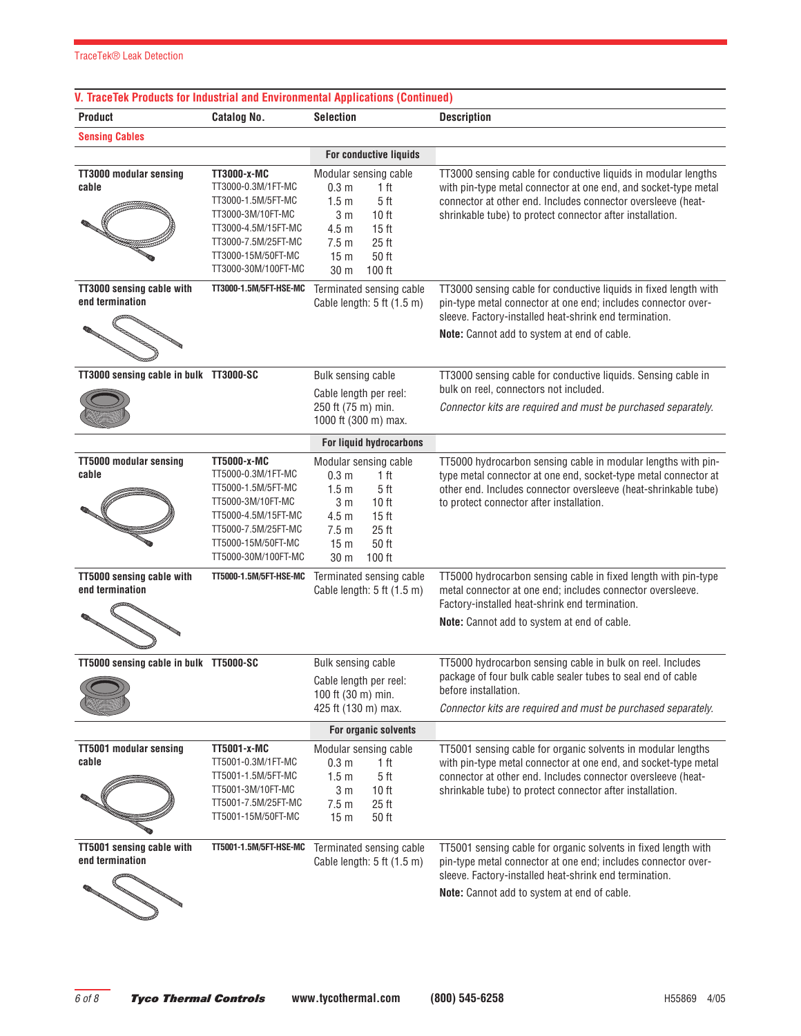# **V. TraceTek Products for Industrial and Environmental Applications (Continued)**

| <b>Product</b>                               | <b>Catalog No.</b>                                                                                                                                                             | <b>Selection</b>                                                                                                                                                                                                                                             | <b>Description</b>                                                                                                                                                                                                                                             |
|----------------------------------------------|--------------------------------------------------------------------------------------------------------------------------------------------------------------------------------|--------------------------------------------------------------------------------------------------------------------------------------------------------------------------------------------------------------------------------------------------------------|----------------------------------------------------------------------------------------------------------------------------------------------------------------------------------------------------------------------------------------------------------------|
| <b>Sensing Cables</b>                        |                                                                                                                                                                                |                                                                                                                                                                                                                                                              |                                                                                                                                                                                                                                                                |
|                                              |                                                                                                                                                                                | For conductive liquids                                                                                                                                                                                                                                       |                                                                                                                                                                                                                                                                |
| <b>TT3000 modular sensing</b><br>cable       | TT3000-x-MC<br>TT3000-0.3M/1FT-MC<br>TT3000-1.5M/5FT-MC<br>TT3000-3M/10FT-MC<br>TT3000-4.5M/15FT-MC<br>TT3000-7.5M/25FT-MC<br>TT3000-15M/50FT-MC<br>TT3000-30M/100FT-MC        | Modular sensing cable<br>0.3 <sub>m</sub><br>1 ft<br>1.5 <sub>m</sub><br>5 <sub>ft</sub><br>3 <sub>m</sub><br>10 <sub>ft</sub><br>4.5 <sub>m</sub><br>15 <sub>ft</sub><br>7.5 <sub>m</sub><br>25 <sub>ft</sub><br>50 ft<br>15 <sub>m</sub><br>100 ft<br>30 m | TT3000 sensing cable for conductive liquids in modular lengths<br>with pin-type metal connector at one end, and socket-type metal<br>connector at other end. Includes connector oversleeve (heat-<br>shrinkable tube) to protect connector after installation. |
| TT3000 sensing cable with<br>end termination | TT3000-1.5M/5FT-HSE-MC                                                                                                                                                         | Terminated sensing cable<br>Cable length: 5 ft (1.5 m)                                                                                                                                                                                                       | TT3000 sensing cable for conductive liquids in fixed length with<br>pin-type metal connector at one end; includes connector over-<br>sleeve. Factory-installed heat-shrink end termination.<br>Note: Cannot add to system at end of cable.                     |
| TT3000 sensing cable in bulk TT3000-SC       |                                                                                                                                                                                | Bulk sensing cable                                                                                                                                                                                                                                           | TT3000 sensing cable for conductive liquids. Sensing cable in                                                                                                                                                                                                  |
|                                              |                                                                                                                                                                                | Cable length per reel:<br>250 ft (75 m) min.<br>1000 ft (300 m) max.                                                                                                                                                                                         | bulk on reel, connectors not included.<br>Connector kits are required and must be purchased separately.                                                                                                                                                        |
|                                              |                                                                                                                                                                                | For liquid hydrocarbons                                                                                                                                                                                                                                      |                                                                                                                                                                                                                                                                |
| <b>TT5000 modular sensing</b><br>cable       | <b>TT5000-x-MC</b><br>TT5000-0.3M/1FT-MC<br>TT5000-1.5M/5FT-MC<br>TT5000-3M/10FT-MC<br>TT5000-4.5M/15FT-MC<br>TT5000-7.5M/25FT-MC<br>TT5000-15M/50FT-MC<br>TT5000-30M/100FT-MC | Modular sensing cable<br>0.3 <sub>m</sub><br>1 ft<br>1.5 <sub>m</sub><br>5 <sub>ft</sub><br>3 <sub>m</sub><br>10 <sub>ft</sub><br>4.5 <sub>m</sub><br>15 <sub>ft</sub><br>25 ft<br>7.5 <sub>m</sub><br>50 ft<br>15 <sub>m</sub><br>100 ft<br>30 m            | TT5000 hydrocarbon sensing cable in modular lengths with pin-<br>type metal connector at one end, socket-type metal connector at<br>other end. Includes connector oversleeve (heat-shrinkable tube)<br>to protect connector after installation.                |
| TT5000 sensing cable with<br>end termination | TT5000-1.5M/5FT-HSE-MC                                                                                                                                                         | Terminated sensing cable<br>Cable length: $5$ ft $(1.5 \text{ m})$                                                                                                                                                                                           | TT5000 hydrocarbon sensing cable in fixed length with pin-type<br>metal connector at one end; includes connector oversleeve.<br>Factory-installed heat-shrink end termination.                                                                                 |
|                                              |                                                                                                                                                                                |                                                                                                                                                                                                                                                              | Note: Cannot add to system at end of cable.                                                                                                                                                                                                                    |
| TT5000 sensing cable in bulk TT5000-SC       |                                                                                                                                                                                | Bulk sensing cable<br>Cable length per reel:<br>100 ft $(30 \text{ m})$ min.<br>425 ft (130 m) max.                                                                                                                                                          | TT5000 hydrocarbon sensing cable in bulk on reel. Includes<br>package of four bulk cable sealer tubes to seal end of cable<br>before installation.<br>Connector kits are required and must be purchased separately.                                            |
|                                              |                                                                                                                                                                                | For organic solvents                                                                                                                                                                                                                                         |                                                                                                                                                                                                                                                                |
| <b>TT5001 modular sensing</b><br>cable       | <b>TT5001-x-MC</b><br>TT5001-0.3M/1FT-MC<br>TT5001-1.5M/5FT-MC<br>TT5001-3M/10FT-MC<br>TT5001-7.5M/25FT-MC<br>TT5001-15M/50FT-MC                                               | Modular sensing cable<br>0.3 <sub>m</sub><br>1 ft<br>1.5 <sub>m</sub><br>5 <sub>ft</sub><br>3 <sub>m</sub><br>10 <sub>ft</sub><br>25 <sub>ft</sub><br>7.5 <sub>m</sub><br>50 ft<br>15 <sub>m</sub>                                                           | TT5001 sensing cable for organic solvents in modular lengths<br>with pin-type metal connector at one end, and socket-type metal<br>connector at other end. Includes connector oversleeve (heat-<br>shrinkable tube) to protect connector after installation.   |
| TT5001 sensing cable with<br>end termination | TT5001-1.5M/5FT-HSE-MC                                                                                                                                                         | Terminated sensing cable<br>Cable length: $5$ ft $(1.5 \text{ m})$                                                                                                                                                                                           | TT5001 sensing cable for organic solvents in fixed length with<br>pin-type metal connector at one end; includes connector over-<br>sleeve. Factory-installed heat-shrink end termination.<br>Note: Cannot add to system at end of cable.                       |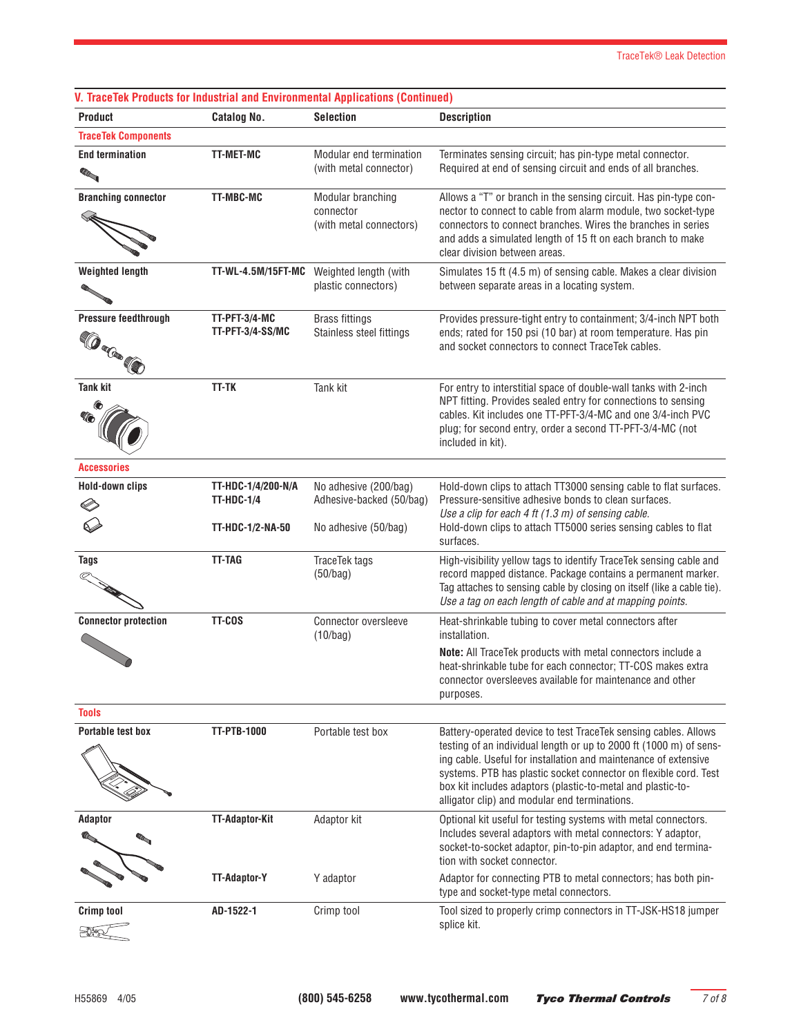| <b>Product</b>              | <b>Catalog No.</b>                      | <b>Selection</b>                                  | <b>Description</b>                                                                                                                     |
|-----------------------------|-----------------------------------------|---------------------------------------------------|----------------------------------------------------------------------------------------------------------------------------------------|
| <b>TraceTek Components</b>  |                                         |                                                   |                                                                                                                                        |
| <b>End termination</b>      | <b>TT-MET-MC</b>                        | Modular end termination                           | Terminates sensing circuit; has pin-type metal connector.                                                                              |
| <b>RAN</b>                  |                                         | (with metal connector)                            | Required at end of sensing circuit and ends of all branches.                                                                           |
| <b>Branching connector</b>  | TT-MBC-MC                               | Modular branching                                 | Allows a "T" or branch in the sensing circuit. Has pin-type con-                                                                       |
|                             |                                         | connector                                         | nector to connect to cable from alarm module, two socket-type                                                                          |
|                             |                                         | (with metal connectors)                           | connectors to connect branches. Wires the branches in series<br>and adds a simulated length of 15 ft on each branch to make            |
|                             |                                         |                                                   | clear division between areas.                                                                                                          |
| <b>Weighted length</b>      |                                         | TT-WL-4.5M/15FT-MC Weighted length (with          | Simulates 15 ft (4.5 m) of sensing cable. Makes a clear division                                                                       |
|                             |                                         | plastic connectors)                               | between separate areas in a locating system.                                                                                           |
|                             |                                         |                                                   |                                                                                                                                        |
| Pressure feedthrough        | TT-PFT-3/4-MC<br>TT-PFT-3/4-SS/MC       | <b>Brass fittings</b><br>Stainless steel fittings | Provides pressure-tight entry to containment; 3/4-inch NPT both<br>ends; rated for 150 psi (10 bar) at room temperature. Has pin       |
|                             |                                         |                                                   | and socket connectors to connect TraceTek cables.                                                                                      |
| <b>Concerte</b>             |                                         |                                                   |                                                                                                                                        |
| <b>Tank kit</b>             | <b>TT-TK</b>                            | Tank kit                                          | For entry to interstitial space of double-wall tanks with 2-inch                                                                       |
|                             |                                         |                                                   | NPT fitting. Provides sealed entry for connections to sensing                                                                          |
|                             |                                         |                                                   | cables. Kit includes one TT-PFT-3/4-MC and one 3/4-inch PVC                                                                            |
|                             |                                         |                                                   | plug; for second entry, order a second TT-PFT-3/4-MC (not<br>included in kit).                                                         |
|                             |                                         |                                                   |                                                                                                                                        |
| <b>Accessories</b>          |                                         |                                                   |                                                                                                                                        |
| <b>Hold-down clips</b>      | TT-HDC-1/4/200-N/A<br><b>TT-HDC-1/4</b> | No adhesive (200/bag)<br>Adhesive-backed (50/bag) | Hold-down clips to attach TT3000 sensing cable to flat surfaces.<br>Pressure-sensitive adhesive bonds to clean surfaces.               |
|                             |                                         |                                                   | Use a clip for each 4 ft (1.3 m) of sensing cable.                                                                                     |
|                             | TT-HDC-1/2-NA-50                        | No adhesive (50/bag)                              | Hold-down clips to attach TT5000 series sensing cables to flat                                                                         |
|                             |                                         |                                                   | surfaces.                                                                                                                              |
| <b>Tags</b>                 | <b>TT-TAG</b>                           | TraceTek tags                                     | High-visibility yellow tags to identify TraceTek sensing cable and                                                                     |
|                             |                                         | (50/bag)                                          | record mapped distance. Package contains a permanent marker.<br>Tag attaches to sensing cable by closing on itself (like a cable tie). |
|                             |                                         |                                                   | Use a tag on each length of cable and at mapping points.                                                                               |
| <b>Connector protection</b> | TT-COS                                  | Connector oversleeve                              | Heat-shrinkable tubing to cover metal connectors after                                                                                 |
|                             |                                         | (10/bag)                                          | installation.                                                                                                                          |
|                             |                                         |                                                   | <b>Note:</b> All TraceTek products with metal connectors include a<br>heat-shrinkable tube for each connector; TT-COS makes extra      |
|                             |                                         |                                                   | connector oversleeves available for maintenance and other                                                                              |
|                             |                                         |                                                   | purposes.                                                                                                                              |
| <b>Tools</b>                |                                         |                                                   |                                                                                                                                        |
| <b>Portable test box</b>    | <b>TT-PTB-1000</b>                      | Portable test box                                 | Battery-operated device to test TraceTek sensing cables. Allows                                                                        |
|                             |                                         |                                                   | testing of an individual length or up to 2000 ft (1000 m) of sens-<br>ing cable. Useful for installation and maintenance of extensive  |
|                             |                                         |                                                   | systems. PTB has plastic socket connector on flexible cord. Test                                                                       |
|                             |                                         |                                                   | box kit includes adaptors (plastic-to-metal and plastic-to-                                                                            |
|                             |                                         |                                                   | alligator clip) and modular end terminations.                                                                                          |
| <b>Adaptor</b>              | <b>TT-Adaptor-Kit</b>                   | Adaptor kit                                       | Optional kit useful for testing systems with metal connectors.                                                                         |
|                             |                                         |                                                   | Includes several adaptors with metal connectors: Y adaptor,<br>socket-to-socket adaptor, pin-to-pin adaptor, and end termina-          |
|                             |                                         |                                                   | tion with socket connector.                                                                                                            |
|                             | TT-Adaptor-Y                            | Y adaptor                                         | Adaptor for connecting PTB to metal connectors; has both pin-                                                                          |
|                             |                                         |                                                   | type and socket-type metal connectors.                                                                                                 |
| <b>Crimp tool</b>           | AD-1522-1                               | Crimp tool                                        | Tool sized to properly crimp connectors in TT-JSK-HS18 jumper                                                                          |
|                             |                                         |                                                   | splice kit.                                                                                                                            |